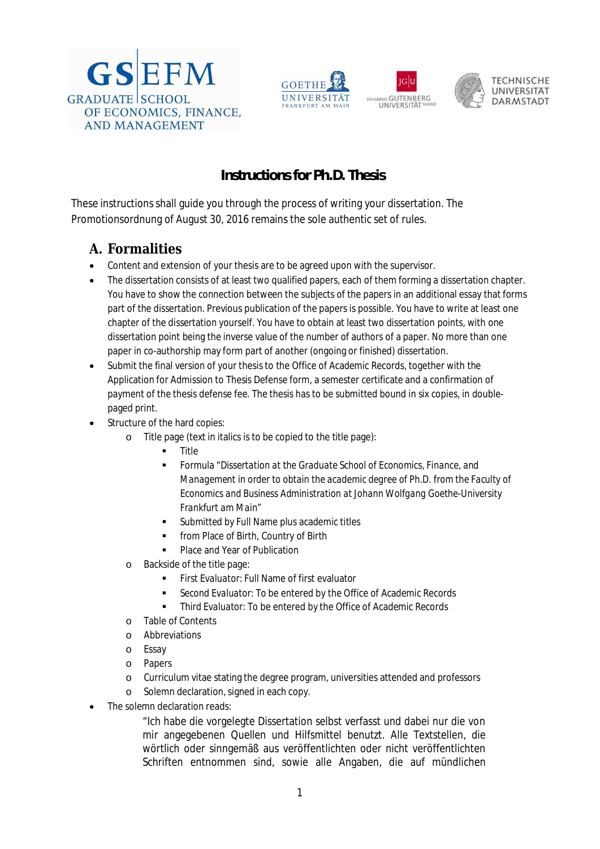







## **Instructions for Ph.D. Thesis**

These instructions shall guide you through the process of writing your dissertation. The Promotionsordnung of August 30, 2016 remains the sole authentic set of rules.

## **A. Formalities**

- Content and extension of your thesis are to be agreed upon with the supervisor.
- The dissertation consists of at least two qualified papers, each of them forming a dissertation chapter. You have to show the connection between the subjects of the papers in an additional essay that forms part of the dissertation. Previous publication of the papers is possible. You have to write at least one chapter of the dissertation yourself. You have to obtain at least two dissertation points, with one dissertation point being the inverse value of the number of authors of a paper. No more than one paper in co-authorship may form part of another (ongoing or finished) dissertation.
- Submit the final version of your thesis to the Office of Academic Records, together with the Application for Admission to Thesis Defense form, a semester certificate and a confirmation of payment of the thesis defense fee. The thesis has to be submitted bound in six copies, in doublepaged print.
- Structure of the hard copies:
	- o Title page (text in italics is to be copied to the title page):
		- **n** Title
		- Formula "*Dissertation at the Graduate School of Economics, Finance, and Management in order to obtain the academic degree of Ph.D. from the Faculty of Economics and Business Administration at Johann Wolfgang Goethe-University Frankfurt am Main*"
		- *Submitted by* Full Name plus academic titles
		- **From Place of Birth, Country of Birth**
		- Place and Year of Publication
	- o Backside of the title page:
		- *First Evaluator:* Full Name of first evaluator
		- *Second Evaluator:* To be entered by the Office of Academic Records
		- *Third Evaluator:* To be entered by the Office of Academic Records
	- o Table of Contents
	- o Abbreviations
	- o Essay
	- o Papers
	- o Curriculum vitae stating the degree program, universities attended and professors
	- o Solemn declaration, signed in each copy.
- The solemn declaration reads:

"Ich habe die vorgelegte Dissertation selbst verfasst und dabei nur die von mir angegebenen Quellen und Hilfsmittel benutzt. Alle Textstellen, die wörtlich oder sinngemäß aus veröffentlichten oder nicht veröffentlichten Schriften entnommen sind, sowie alle Angaben, die auf mündlichen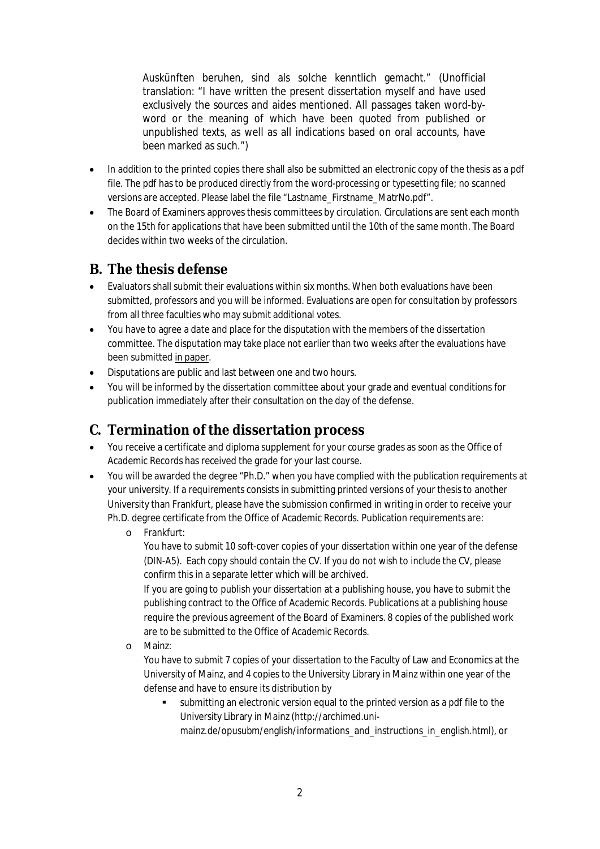Auskünften beruhen, sind als solche kenntlich gemacht." (Unofficial translation: "I have written the present dissertation myself and have used exclusively the sources and aides mentioned. All passages taken word-byword or the meaning of which have been quoted from published or unpublished texts, as well as all indications based on oral accounts, have been marked as such.")

- In addition to the printed copies there shall also be submitted an electronic copy of the thesis as a pdf file. The pdf has to be produced directly from the word-processing or typesetting file; no scanned versions are accepted. Please label the file "Lastname\_Firstname\_MatrNo.pdf".
- The Board of Examiners approves thesis committees by circulation. Circulations are sent each month on the 15th for applications that have been submitted until the 10th of the same month. The Board decides within two weeks of the circulation.

## **B. The thesis defense**

- Evaluators shall submit their evaluations within six months. When both evaluations have been submitted, professors and you will be informed. Evaluations are open for consultation by professors from all three faculties who may submit additional votes.
- You have to agree a date and place for the disputation with the members of the dissertation committee. The disputation may take place *not earlier than two weeks* after the evaluations have been submitted in paper.
- Disputations are public and last between one and two hours.
- You will be informed by the dissertation committee about your grade and eventual conditions for publication immediately after their consultation on the day of the defense.

## **C. Termination of the dissertation process**

- You receive a certificate and diploma supplement for your course grades as soon as the Office of Academic Records has received the grade for your last course.
- You will be awarded the degree "Ph.D." when you have complied with the publication requirements at your university. If a requirements consists in submitting printed versions of your thesis to another University than Frankfurt, please have the submission confirmed in writing in order to receive your Ph.D. degree certificate from the Office of Academic Records. Publication requirements are:
	- o Frankfurt:

You have to submit 10 soft-cover copies of your dissertation within one year of the defense (DIN-A5). Each copy should contain the CV. If you do not wish to include the CV, please confirm this in a separate letter which will be archived.

If you are going to publish your dissertation at a publishing house, you have to submit the publishing contract to the Office of Academic Records. Publications at a publishing house require the previous agreement of the Board of Examiners. 8 copies of the published work are to be submitted to the Office of Academic Records.

o Mainz:

You have to submit 7 copies of your dissertation to the Faculty of Law and Economics at the University of Mainz, and 4 copies to the University Library in Mainz within one year of the defense and have to ensure its distribution by

 submitting an electronic version equal to the printed version as a pdf file to the University Library in Mainz (http://archimed.unimainz.de/opusubm/english/informations\_and\_instructions\_in\_english.html), or